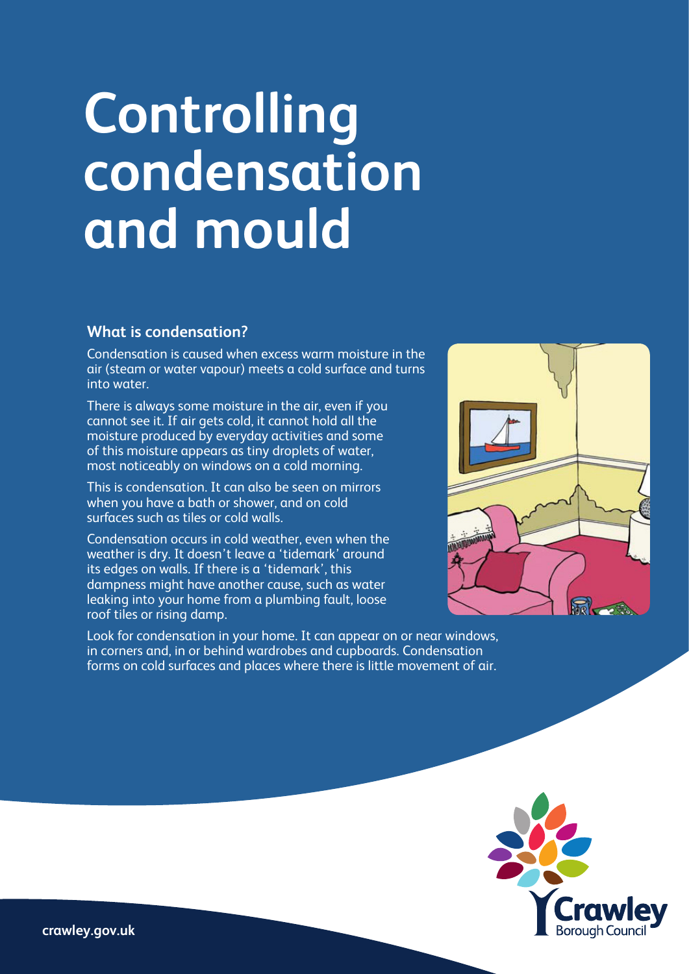# **Controlling condensation and mould**

#### **What is condensation?**

Condensation is caused when excess warm moisture in the air (steam or water vapour) meets a cold surface and turns into water.

There is always some moisture in the air, even if you cannot see it. If air gets cold, it cannot hold all the moisture produced by everyday activities and some of this moisture appears as tiny droplets of water, most noticeably on windows on a cold morning.

This is condensation. It can also be seen on mirrors when you have a bath or shower, and on cold surfaces such as tiles or cold walls.

Condensation occurs in cold weather, even when the weather is dry. It doesn't leave a 'tidemark' around its edges on walls. If there is a 'tidemark', this dampness might have another cause, such as water leaking into your home from a plumbing fault, loose roof tiles or rising damp.

Look for condensation in your home. It can appear on or near windows, in corners and, in or behind wardrobes and cupboards. Condensation forms on cold surfaces and places where there is little movement of air.

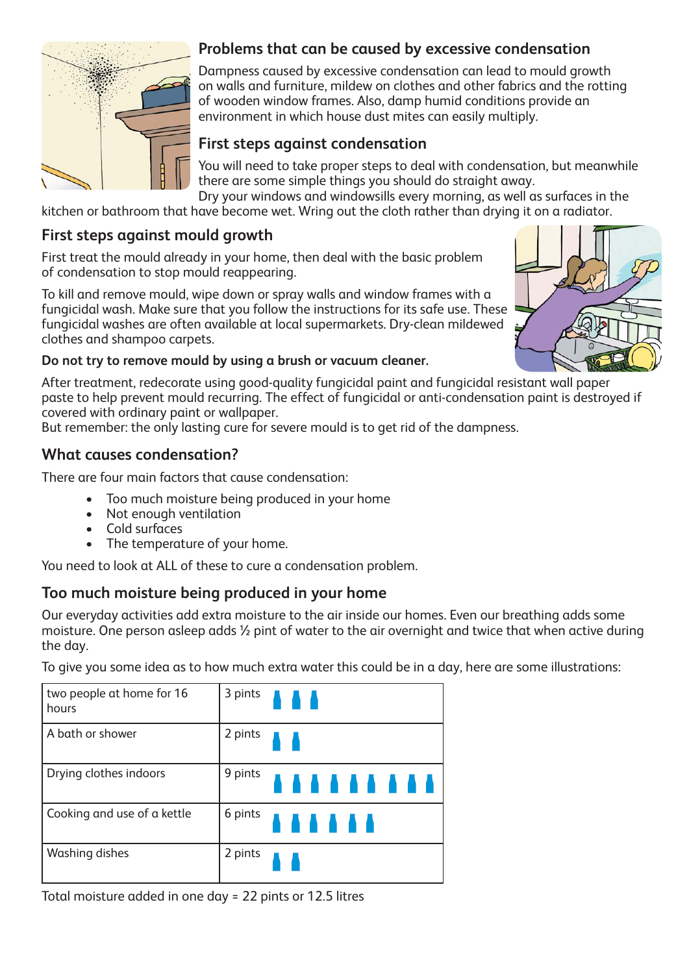

## **Problems that can be caused by excessive condensation**

Dampness caused by excessive condensation can lead to mould growth on walls and furniture, mildew on clothes and other fabrics and the rotting of wooden window frames. Also, damp humid conditions provide an environment in which house dust mites can easily multiply.

## **First steps against condensation**

You will need to take proper steps to deal with condensation, but meanwhile there are some simple things you should do straight away.

Dry your windows and windowsills every morning, as well as surfaces in the kitchen or bathroom that have become wet. Wring out the cloth rather than drying it on a radiator.

#### **First steps against mould growth**

First treat the mould already in your home, then deal with the basic problem of condensation to stop mould reappearing.

To kill and remove mould, wipe down or spray walls and window frames with a fungicidal wash. Make sure that you follow the instructions for its safe use. These fungicidal washes are often available at local supermarkets. Dry-clean mildewed clothes and shampoo carpets.



#### **Do not try to remove mould by using a brush or vacuum cleaner.**

After treatment, redecorate using good-quality fungicidal paint and fungicidal resistant wall paper paste to help prevent mould recurring. The effect of fungicidal or anti-condensation paint is destroyed if covered with ordinary paint or wallpaper.

But remember: the only lasting cure for severe mould is to get rid of the dampness.

#### **What causes condensation?**

There are four main factors that cause condensation:

- Too much moisture being produced in your home
- Not enough ventilation
- Cold surfaces
- The temperature of your home.

You need to look at ALL of these to cure a condensation problem.

### **Too much moisture being produced in your home**

Our everyday activities add extra moisture to the air inside our homes. Even our breathing adds some moisture. One person asleep adds ½ pint of water to the air overnight and twice that when active during the day.

To give you some idea as to how much extra water this could be in a day, here are some illustrations:

| two people at home for 16<br>hours | 3 pints                                   |
|------------------------------------|-------------------------------------------|
| A bath or shower                   | 2 pints                                   |
| Drying clothes indoors             | <sup>9 pints</sup> <b>A A A A A A A A</b> |
| Cooking and use of a kettle        | <sup>6 pints</sup> A A A A A              |
| Washing dishes                     | 2 pints                                   |

Total moisture added in one day = 22 pints or 12.5 litres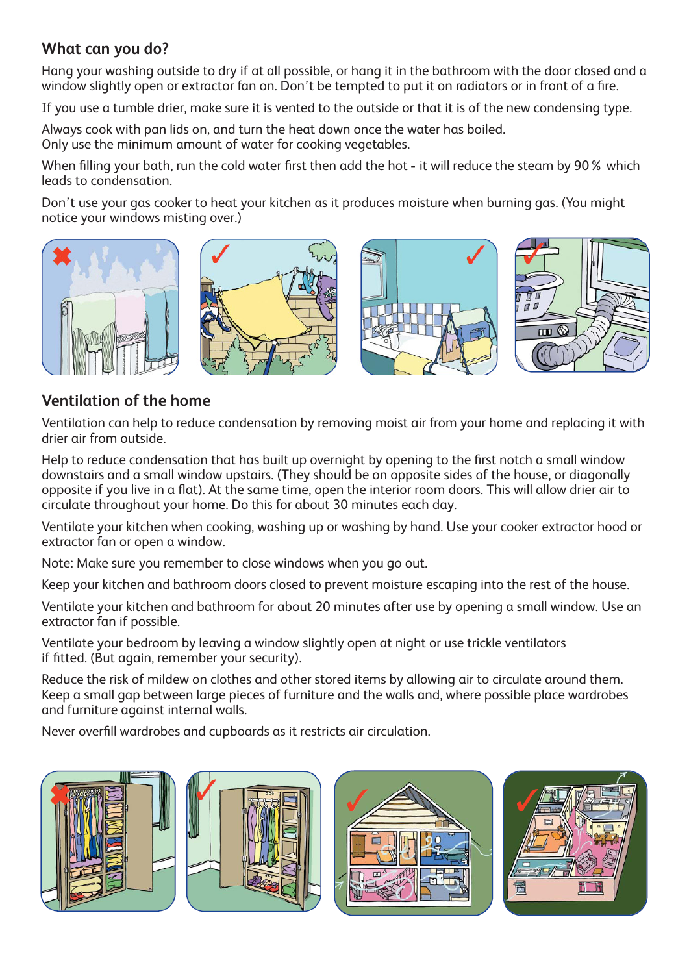### **What can you do?**

Hang your washing outside to dry if at all possible, or hang it in the bathroom with the door closed and a window slightly open or extractor fan on. Don't be tempted to put it on radiators or in front of a fire.

If you use a tumble drier, make sure it is vented to the outside or that it is of the new condensing type.

Always cook with pan lids on, and turn the heat down once the water has boiled. Only use the minimum amount of water for cooking vegetables.

When filling your bath, run the cold water first then add the hot - it will reduce the steam by 90% which leads to condensation.

Don't use your gas cooker to heat your kitchen as it produces moisture when burning gas. (You might notice your windows misting over.)



# **Ventilation of the home**

Ventilation can help to reduce condensation by removing moist air from your home and replacing it with drier air from outside.

Help to reduce condensation that has built up overnight by opening to the first notch a small window downstairs and a small window upstairs. (They should be on opposite sides of the house, or diagonally opposite if you live in a flat). At the same time, open the interior room doors. This will allow drier air to circulate throughout your home. Do this for about 30 minutes each day.

Ventilate your kitchen when cooking, washing up or washing by hand. Use your cooker extractor hood or extractor fan or open a window.

Note: Make sure you remember to close windows when you go out.

Keep your kitchen and bathroom doors closed to prevent moisture escaping into the rest of the house.

Ventilate your kitchen and bathroom for about 20 minutes after use by opening a small window. Use an extractor fan if possible.

Ventilate your bedroom by leaving a window slightly open at night or use trickle ventilators if fitted. (But again, remember your security).

Reduce the risk of mildew on clothes and other stored items by allowing air to circulate around them. Keep a small gap between large pieces of furniture and the walls and, where possible place wardrobes and furniture against internal walls.

Never overfill wardrobes and cupboards as it restricts air circulation.